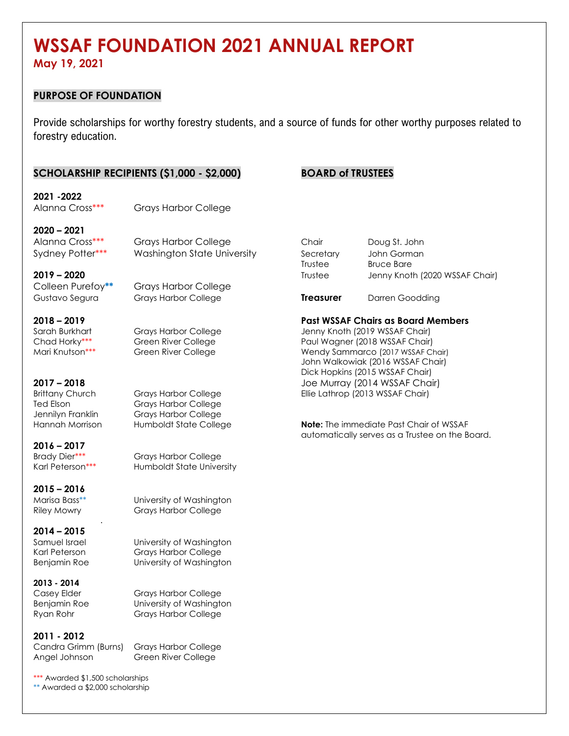# **WSSAF FOUNDATION 2021 ANNUAL REPORT**

**May 19, 2021**

#### **PURPOSE OF FOUNDATION**

Provide scholarships for worthy forestry students, and a source of funds for other worthy purposes related to forestry education.

#### **SCHOLARSHIP RECIPIENTS (\$1,000 - \$2,000) BOARD of TRUSTEES**

**2021 -2022** Alanna Cross\*\*\* Grays Harbor College

**2020 – 2021**

Colleen Purefoy**\*\*** Grays Harbor College

**2016 – 2017**

**2015 – 2016**

**2014 – 2015**

Benjamin Roe University of Washington

**2013 - 2014**

Ryan Rohr Grays Harbor College

**2011 - 2012**

Candra Grimm (Burns) Grays Harbor College Angel Johnson Green River College

\*\*\* Awarded \$1,500 scholarships \*\* Awarded a \$2,000 scholarship

.

Ted Elson Grays Harbor College Jennilyn Franklin Grays Harbor College

Brady Dier\*\*\* Grays Harbor College Karl Peterson\*\*\* Humboldt State University

Marisa Bass\*\* University of Washington Riley Mowry Grays Harbor College

Samuel Israel **University of Washington** Karl Peterson Grays Harbor College

Casey Elder Grays Harbor College Benjamin Roe University of Washington

Alanna Cross\*\*\* Grays Harbor College Chair Doug St. John Sydney Potter\*\*\* Mashington State University Secretary John Gorman Trustee Bruce Bare **2019 – 2020** Trustee Jenny Knoth (2020 WSSAF Chair)

Gustavo Segura Grays Harbor College **Treasurer** Darren Goodding

**2018 – 2019 Past WSSAF Chairs as Board Members**

Sarah Burkhart Grays Harbor College Jenny Knoth (2019 WSSAF Chair) Chad Horky\*\*\* **Changer Green River College** Paul Wagner (2018 WSSAF Chair) Mari Knutson\*\*\* **Green River College Wendy Sammarco (2017 WSSAF Chair)** John Walkowiak (2016 WSSAF Chair) Dick Hopkins (2015 WSSAF Chair) **2017 – 2018** Joe Murray (2014 WSSAF Chair) Brittany Church Grays Harbor College Ellie Lathrop (2013 WSSAF Chair)

Hannah Morrison Humboldt State College **Note:** The immediate Past Chair of WSSAF automatically serves as a Trustee on the Board.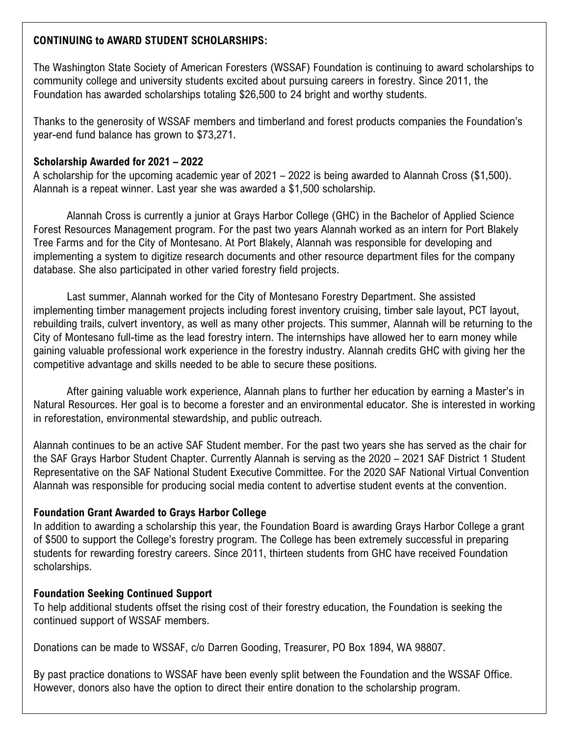# **CONTINUING to AWARD STUDENT SCHOLARSHIPS:**

The Washington State Society of American Foresters (WSSAF) Foundation is continuing to award scholarships to community college and university students excited about pursuing careers in forestry. Since 2011, the Foundation has awarded scholarships totaling \$26,500 to 24 bright and worthy students.

Thanks to the generosity of WSSAF members and timberland and forest products companies the Foundation's year-end fund balance has grown to \$73,271.

#### **Scholarship Awarded for 2021 – 2022**

A scholarship for the upcoming academic year of 2021 – 2022 is being awarded to Alannah Cross (\$1,500). Alannah is a repeat winner. Last year she was awarded a \$1,500 scholarship.

Alannah Cross is currently a junior at Grays Harbor College (GHC) in the Bachelor of Applied Science Forest Resources Management program. For the past two years Alannah worked as an intern for Port Blakely Tree Farms and for the City of Montesano. At Port Blakely, Alannah was responsible for developing and implementing a system to digitize research documents and other resource department files for the company database. She also participated in other varied forestry field projects.

Last summer, Alannah worked for the City of Montesano Forestry Department. She assisted implementing timber management projects including forest inventory cruising, timber sale layout, PCT layout, rebuilding trails, culvert inventory, as well as many other projects. This summer, Alannah will be returning to the City of Montesano full-time as the lead forestry intern. The internships have allowed her to earn money while gaining valuable professional work experience in the forestry industry. Alannah credits GHC with giving her the competitive advantage and skills needed to be able to secure these positions.

After gaining valuable work experience, Alannah plans to further her education by earning a Master's in Natural Resources. Her goal is to become a forester and an environmental educator. She is interested in working in reforestation, environmental stewardship, and public outreach.

Alannah continues to be an active SAF Student member. For the past two years she has served as the chair for the SAF Grays Harbor Student Chapter. Currently Alannah is serving as the 2020 – 2021 SAF District 1 Student Representative on the SAF National Student Executive Committee. For the 2020 SAF National Virtual Convention Alannah was responsible for producing social media content to advertise student events at the convention.

## **Foundation Grant Awarded to Grays Harbor College**

In addition to awarding a scholarship this year, the Foundation Board is awarding Grays Harbor College a grant of \$500 to support the College's forestry program. The College has been extremely successful in preparing students for rewarding forestry careers. Since 2011, thirteen students from GHC have received Foundation scholarships.

## **Foundation Seeking Continued Support**

To help additional students offset the rising cost of their forestry education, the Foundation is seeking the continued support of WSSAF members.

Donations can be made to WSSAF, c/o Darren Gooding, Treasurer, PO Box 1894, WA 98807.

By past practice donations to WSSAF have been evenly split between the Foundation and the WSSAF Office. However, donors also have the option to direct their entire donation to the scholarship program.